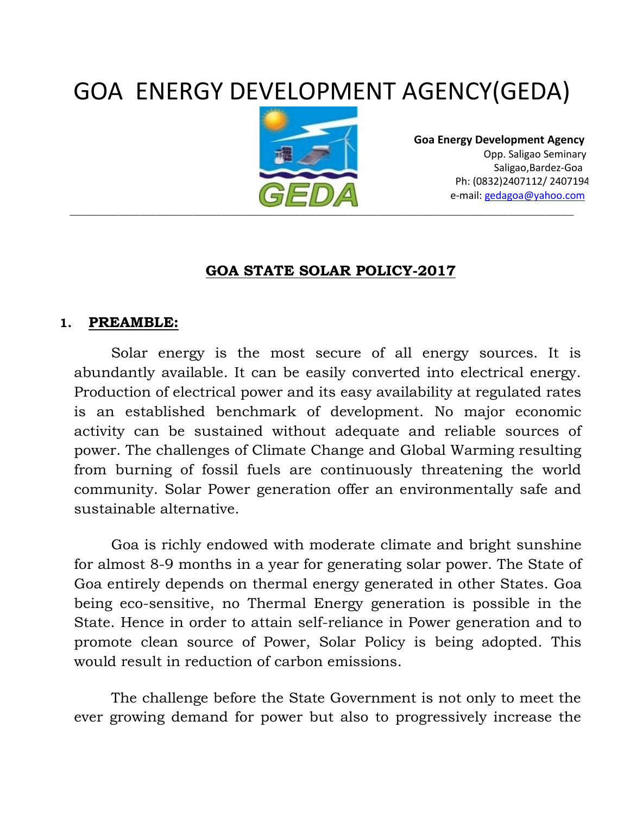# GOA ENERGY DEVELOPMENT AGENCY(GEDA)



 **Goa Energy Development Agency** Opp. Saligao Seminary Saligao,Bardez-Goa Ph: (0832)2407112/ 2407194 e-mail: [gedagoa@yahoo.com](mailto:gedagoa@yahoo.com)

#### **GOA STATE SOLAR POLICY-2017**

#### **1. PREAMBLE:**

Solar energy is the most secure of all energy sources. It is abundantly available. It can be easily converted into electrical energy. Production of electrical power and its easy availability at regulated rates is an established benchmark of development. No major economic activity can be sustained without adequate and reliable sources of power. The challenges of Climate Change and Global Warming resulting from burning of fossil fuels are continuously threatening the world community. Solar Power generation offer an environmentally safe and sustainable alternative.

Goa is richly endowed with moderate climate and bright sunshine for almost 8-9 months in a year for generating solar power. The State of Goa entirely depends on thermal energy generated in other States. Goa being eco-sensitive, no Thermal Energy generation is possible in the State. Hence in order to attain self-reliance in Power generation and to promote clean source of Power, Solar Policy is being adopted. This would result in reduction of carbon emissions.

The challenge before the State Government is not only to meet the ever growing demand for power but also to progressively increase the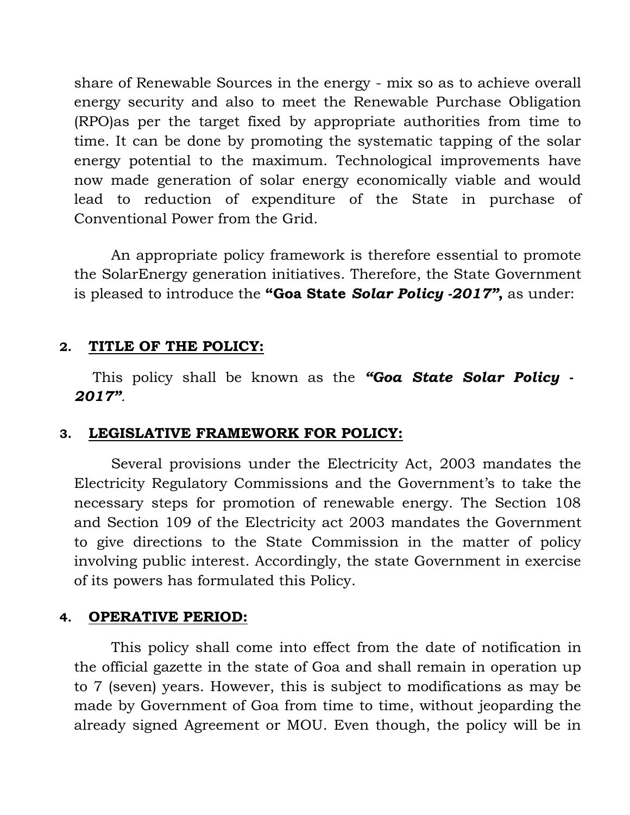share of Renewable Sources in the energy - mix so as to achieve overall energy security and also to meet the Renewable Purchase Obligation (RPO)as per the target fixed by appropriate authorities from time to time. It can be done by promoting the systematic tapping of the solar energy potential to the maximum. Technological improvements have now made generation of solar energy economically viable and would lead to reduction of expenditure of the State in purchase of Conventional Power from the Grid.

An appropriate policy framework is therefore essential to promote the SolarEnergy generation initiatives. Therefore, the State Government is pleased to introduce the **"Goa State** *Solar Policy -2017"***,** as under:

#### **2. TITLE OF THE POLICY:**

This policy shall be known as the *"Goa State Solar Policy - 2017".*

#### **3. LEGISLATIVE FRAMEWORK FOR POLICY:**

Several provisions under the Electricity Act, 2003 mandates the Electricity Regulatory Commissions and the Government's to take the necessary steps for promotion of renewable energy. The Section 108 and Section 109 of the Electricity act 2003 mandates the Government to give directions to the State Commission in the matter of policy involving public interest. Accordingly, the state Government in exercise of its powers has formulated this Policy.

#### **4. OPERATIVE PERIOD:**

This policy shall come into effect from the date of notification in the official gazette in the state of Goa and shall remain in operation up to 7 (seven) years. However, this is subject to modifications as may be made by Government of Goa from time to time, without jeoparding the already signed Agreement or MOU. Even though, the policy will be in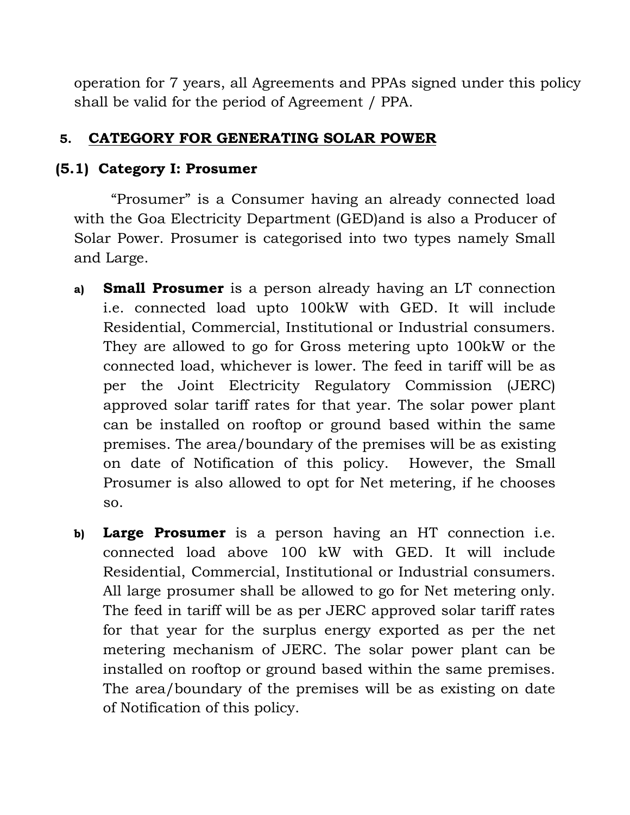operation for 7 years, all Agreements and PPAs signed under this policy shall be valid for the period of Agreement / PPA.

## **5. CATEGORY FOR GENERATING SOLAR POWER**

## **(5.1) Category I: Prosumer**

"Prosumer" is a Consumer having an already connected load with the Goa Electricity Department (GED)and is also a Producer of Solar Power. Prosumer is categorised into two types namely Small and Large.

- **a) Small Prosumer** is a person already having an LT connection i.e. connected load upto 100kW with GED. It will include Residential, Commercial, Institutional or Industrial consumers. They are allowed to go for Gross metering upto 100kW or the connected load, whichever is lower. The feed in tariff will be as per the Joint Electricity Regulatory Commission (JERC) approved solar tariff rates for that year. The solar power plant can be installed on rooftop or ground based within the same premises. The area/boundary of the premises will be as existing on date of Notification of this policy. However, the Small Prosumer is also allowed to opt for Net metering, if he chooses so.
- **b) Large Prosumer** is a person having an HT connection i.e. connected load above 100 kW with GED. It will include Residential, Commercial, Institutional or Industrial consumers. All large prosumer shall be allowed to go for Net metering only. The feed in tariff will be as per JERC approved solar tariff rates for that year for the surplus energy exported as per the net metering mechanism of JERC. The solar power plant can be installed on rooftop or ground based within the same premises. The area/boundary of the premises will be as existing on date of Notification of this policy.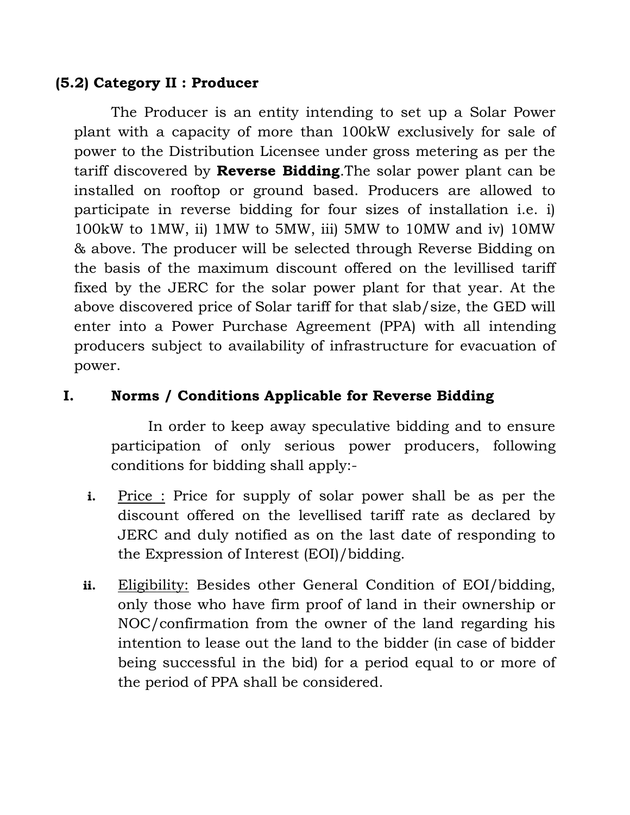## **(5.2) Category II : Producer**

The Producer is an entity intending to set up a Solar Power plant with a capacity of more than 100kW exclusively for sale of power to the Distribution Licensee under gross metering as per the tariff discovered by **Reverse Bidding**.The solar power plant can be installed on rooftop or ground based. Producers are allowed to participate in reverse bidding for four sizes of installation i.e. i) 100kW to 1MW, ii) 1MW to 5MW, iii) 5MW to 10MW and iv) 10MW & above. The producer will be selected through Reverse Bidding on the basis of the maximum discount offered on the levillised tariff fixed by the JERC for the solar power plant for that year. At the above discovered price of Solar tariff for that slab/size, the GED will enter into a Power Purchase Agreement (PPA) with all intending producers subject to availability of infrastructure for evacuation of power.

# **I. Norms / Conditions Applicable for Reverse Bidding**

In order to keep away speculative bidding and to ensure participation of only serious power producers, following conditions for bidding shall apply:-

- **i.** Price : Price for supply of solar power shall be as per the discount offered on the levellised tariff rate as declared by JERC and duly notified as on the last date of responding to the Expression of Interest (EOI)/bidding.
- **ii.** Eligibility: Besides other General Condition of EOI/bidding, only those who have firm proof of land in their ownership or NOC/confirmation from the owner of the land regarding his intention to lease out the land to the bidder (in case of bidder being successful in the bid) for a period equal to or more of the period of PPA shall be considered.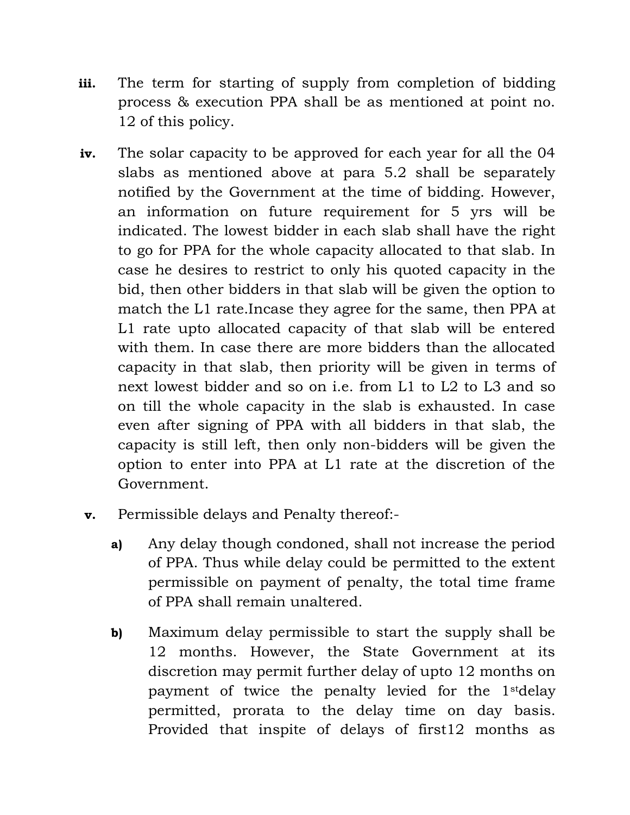- **iii.** The term for starting of supply from completion of bidding process & execution PPA shall be as mentioned at point no. 12 of this policy.
- **iv.** The solar capacity to be approved for each year for all the 04 slabs as mentioned above at para 5.2 shall be separately notified by the Government at the time of bidding. However, an information on future requirement for 5 yrs will be indicated. The lowest bidder in each slab shall have the right to go for PPA for the whole capacity allocated to that slab. In case he desires to restrict to only his quoted capacity in the bid, then other bidders in that slab will be given the option to match the L1 rate.Incase they agree for the same, then PPA at L1 rate upto allocated capacity of that slab will be entered with them. In case there are more bidders than the allocated capacity in that slab, then priority will be given in terms of next lowest bidder and so on i.e. from L1 to L2 to L3 and so on till the whole capacity in the slab is exhausted. In case even after signing of PPA with all bidders in that slab, the capacity is still left, then only non-bidders will be given the option to enter into PPA at L1 rate at the discretion of the Government.
- **v.** Permissible delays and Penalty thereof:
	- **a)** Any delay though condoned, shall not increase the period of PPA. Thus while delay could be permitted to the extent permissible on payment of penalty, the total time frame of PPA shall remain unaltered.
	- **b)** Maximum delay permissible to start the supply shall be 12 months. However, the State Government at its discretion may permit further delay of upto 12 months on payment of twice the penalty levied for the 1stdelay permitted, prorata to the delay time on day basis. Provided that inspite of delays of first12 months as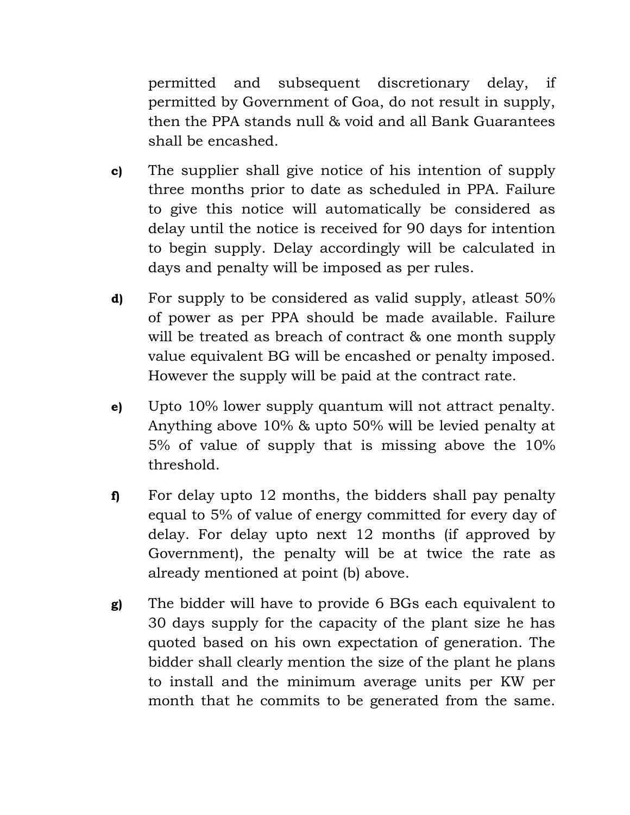permitted and subsequent discretionary delay, if permitted by Government of Goa, do not result in supply, then the PPA stands null & void and all Bank Guarantees shall be encashed.

- **c)** The supplier shall give notice of his intention of supply three months prior to date as scheduled in PPA. Failure to give this notice will automatically be considered as delay until the notice is received for 90 days for intention to begin supply. Delay accordingly will be calculated in days and penalty will be imposed as per rules.
- **d)** For supply to be considered as valid supply, atleast 50% of power as per PPA should be made available. Failure will be treated as breach of contract & one month supply value equivalent BG will be encashed or penalty imposed. However the supply will be paid at the contract rate.
- **e)** Upto 10% lower supply quantum will not attract penalty. Anything above 10% & upto 50% will be levied penalty at 5% of value of supply that is missing above the 10% threshold.
- **f)** For delay upto 12 months, the bidders shall pay penalty equal to 5% of value of energy committed for every day of delay. For delay upto next 12 months (if approved by Government), the penalty will be at twice the rate as already mentioned at point (b) above.
- **g)** The bidder will have to provide 6 BGs each equivalent to 30 days supply for the capacity of the plant size he has quoted based on his own expectation of generation. The bidder shall clearly mention the size of the plant he plans to install and the minimum average units per KW per month that he commits to be generated from the same.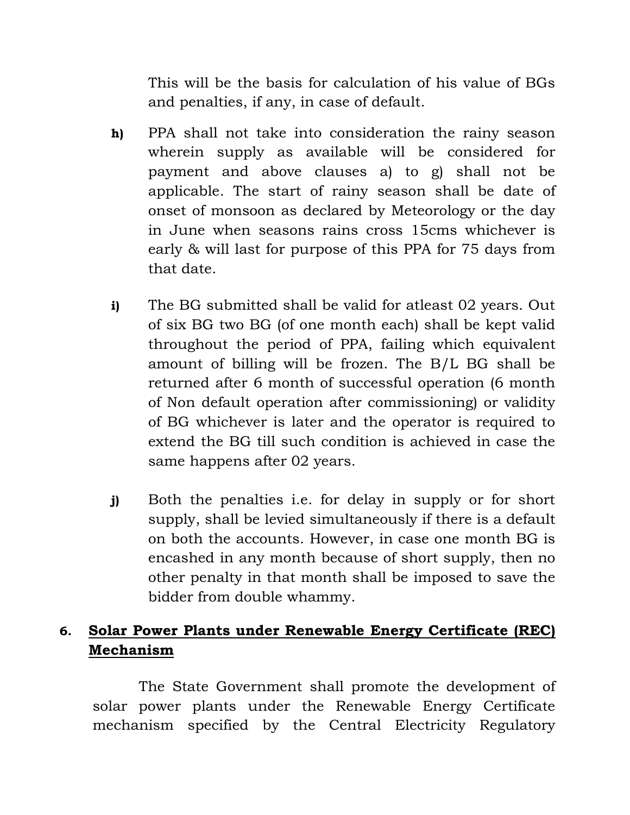This will be the basis for calculation of his value of BGs and penalties, if any, in case of default.

- **h)** PPA shall not take into consideration the rainy season wherein supply as available will be considered for payment and above clauses a) to g) shall not be applicable. The start of rainy season shall be date of onset of monsoon as declared by Meteorology or the day in June when seasons rains cross 15cms whichever is early & will last for purpose of this PPA for 75 days from that date.
- **i)** The BG submitted shall be valid for atleast 02 years. Out of six BG two BG (of one month each) shall be kept valid throughout the period of PPA, failing which equivalent amount of billing will be frozen. The B/L BG shall be returned after 6 month of successful operation (6 month of Non default operation after commissioning) or validity of BG whichever is later and the operator is required to extend the BG till such condition is achieved in case the same happens after 02 years.
- **j)** Both the penalties i.e. for delay in supply or for short supply, shall be levied simultaneously if there is a default on both the accounts. However, in case one month BG is encashed in any month because of short supply, then no other penalty in that month shall be imposed to save the bidder from double whammy.

# **6. Solar Power Plants under Renewable Energy Certificate (REC) Mechanism**

The State Government shall promote the development of solar power plants under the Renewable Energy Certificate mechanism specified by the Central Electricity Regulatory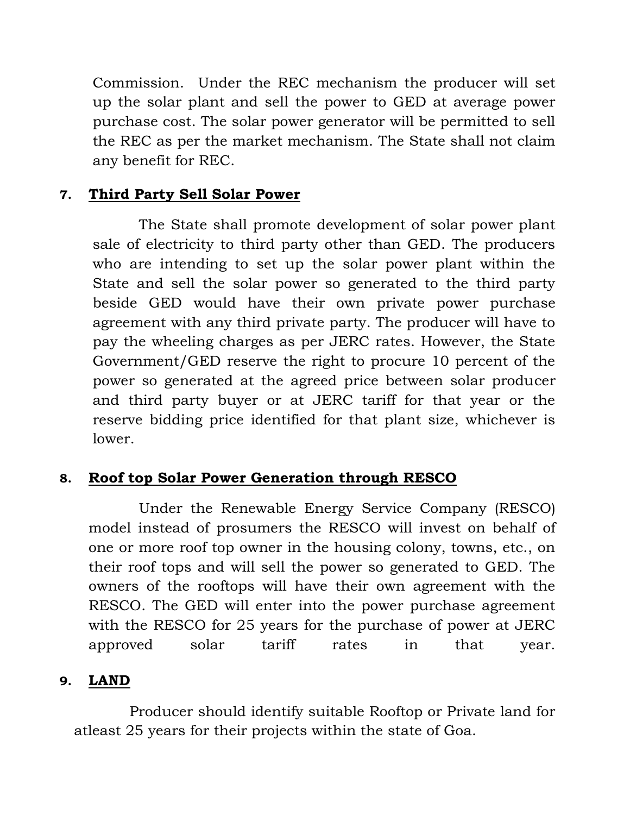Commission. Under the REC mechanism the producer will set up the solar plant and sell the power to GED at average power purchase cost. The solar power generator will be permitted to sell the REC as per the market mechanism. The State shall not claim any benefit for REC.

## **7. Third Party Sell Solar Power**

The State shall promote development of solar power plant sale of electricity to third party other than GED. The producers who are intending to set up the solar power plant within the State and sell the solar power so generated to the third party beside GED would have their own private power purchase agreement with any third private party. The producer will have to pay the wheeling charges as per JERC rates. However, the State Government/GED reserve the right to procure 10 percent of the power so generated at the agreed price between solar producer and third party buyer or at JERC tariff for that year or the reserve bidding price identified for that plant size, whichever is lower.

#### **8. Roof top Solar Power Generation through RESCO**

Under the Renewable Energy Service Company (RESCO) model instead of prosumers the RESCO will invest on behalf of one or more roof top owner in the housing colony, towns, etc., on their roof tops and will sell the power so generated to GED. The owners of the rooftops will have their own agreement with the RESCO. The GED will enter into the power purchase agreement with the RESCO for 25 years for the purchase of power at JERC approved solar tariff rates in that year.

#### **9. LAND**

Producer should identify suitable Rooftop or Private land for atleast 25 years for their projects within the state of Goa.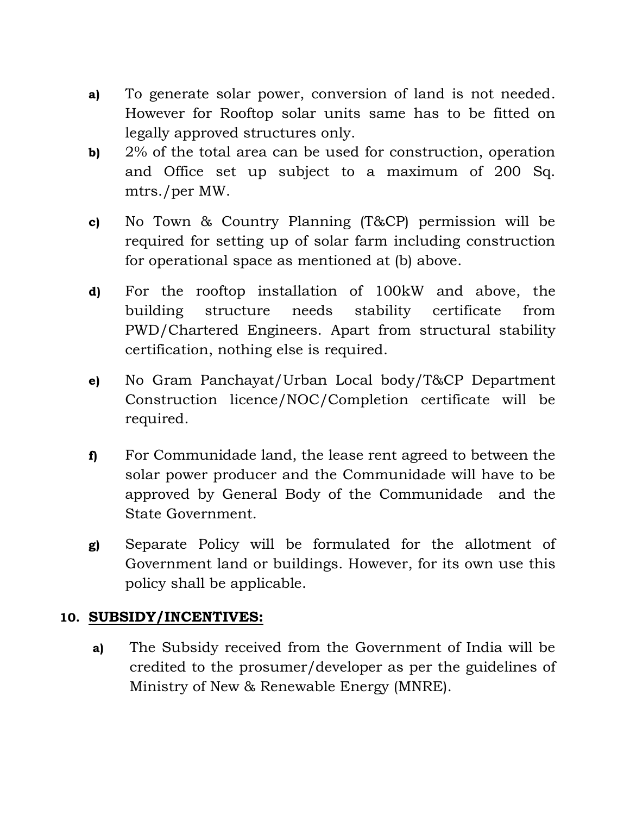- **a)** To generate solar power, conversion of land is not needed. However for Rooftop solar units same has to be fitted on legally approved structures only.
- **b)** 2% of the total area can be used for construction, operation and Office set up subject to a maximum of 200 Sq. mtrs./per MW.
- **c)** No Town & Country Planning (T&CP) permission will be required for setting up of solar farm including construction for operational space as mentioned at (b) above.
- **d)** For the rooftop installation of 100kW and above, the building structure needs stability certificate from PWD/Chartered Engineers. Apart from structural stability certification, nothing else is required.
- **e)** No Gram Panchayat/Urban Local body/T&CP Department Construction licence/NOC/Completion certificate will be required.
- **f)** For Communidade land, the lease rent agreed to between the solar power producer and the Communidade will have to be approved by General Body of the Communidade and the State Government.
- **g)** Separate Policy will be formulated for the allotment of Government land or buildings. However, for its own use this policy shall be applicable.

#### **10. SUBSIDY/INCENTIVES:**

**a)** The Subsidy received from the Government of India will be credited to the prosumer/developer as per the guidelines of Ministry of New & Renewable Energy (MNRE).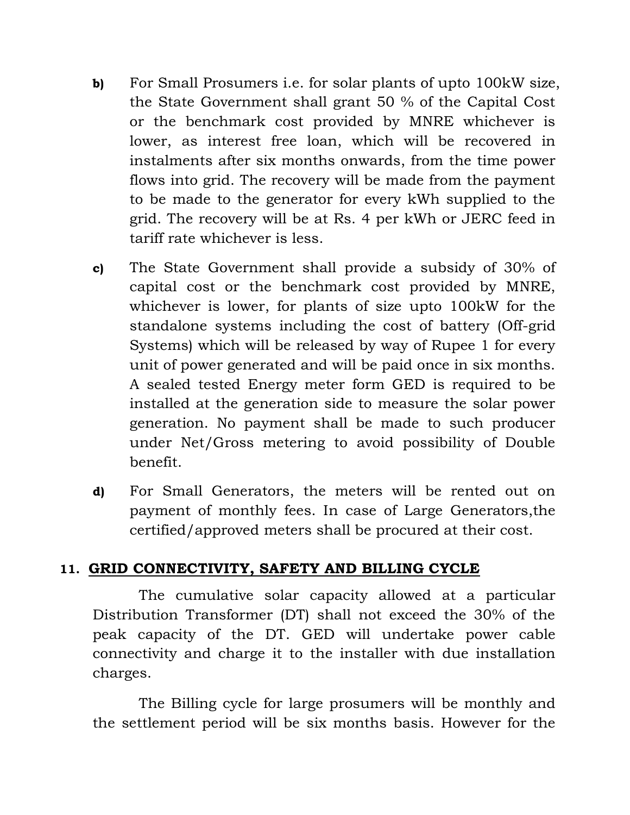- **b)** For Small Prosumers i.e. for solar plants of upto 100kW size, the State Government shall grant 50 % of the Capital Cost or the benchmark cost provided by MNRE whichever is lower, as interest free loan, which will be recovered in instalments after six months onwards, from the time power flows into grid. The recovery will be made from the payment to be made to the generator for every kWh supplied to the grid. The recovery will be at Rs. 4 per kWh or JERC feed in tariff rate whichever is less.
- **c)** The State Government shall provide a subsidy of 30% of capital cost or the benchmark cost provided by MNRE, whichever is lower, for plants of size upto 100kW for the standalone systems including the cost of battery (Off-grid Systems) which will be released by way of Rupee 1 for every unit of power generated and will be paid once in six months. A sealed tested Energy meter form GED is required to be installed at the generation side to measure the solar power generation. No payment shall be made to such producer under Net/Gross metering to avoid possibility of Double benefit.
- **d)** For Small Generators, the meters will be rented out on payment of monthly fees. In case of Large Generators,the certified/approved meters shall be procured at their cost.

#### **11. GRID CONNECTIVITY, SAFETY AND BILLING CYCLE**

The cumulative solar capacity allowed at a particular Distribution Transformer (DT) shall not exceed the 30% of the peak capacity of the DT. GED will undertake power cable connectivity and charge it to the installer with due installation charges.

The Billing cycle for large prosumers will be monthly and the settlement period will be six months basis. However for the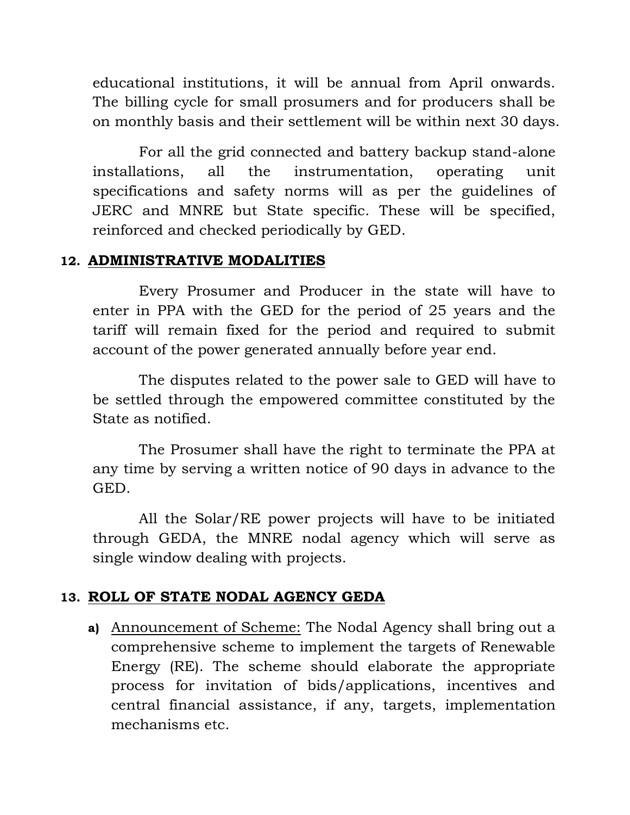educational institutions, it will be annual from April onwards. The billing cycle for small prosumers and for producers shall be on monthly basis and their settlement will be within next 30 days.

For all the grid connected and battery backup stand-alone installations, all the instrumentation, operating unit specifications and safety norms will as per the guidelines of JERC and MNRE but State specific. These will be specified, reinforced and checked periodically by GED.

#### **12. ADMINISTRATIVE MODALITIES**

Every Prosumer and Producer in the state will have to enter in PPA with the GED for the period of 25 years and the tariff will remain fixed for the period and required to submit account of the power generated annually before year end.

The disputes related to the power sale to GED will have to be settled through the empowered committee constituted by the State as notified.

The Prosumer shall have the right to terminate the PPA at any time by serving a written notice of 90 days in advance to the GED.

All the Solar/RE power projects will have to be initiated through GEDA, the MNRE nodal agency which will serve as single window dealing with projects.

# **13. ROLL OF STATE NODAL AGENCY GEDA**

**a)** Announcement of Scheme: The Nodal Agency shall bring out a comprehensive scheme to implement the targets of Renewable Energy (RE). The scheme should elaborate the appropriate process for invitation of bids/applications, incentives and central financial assistance, if any, targets, implementation mechanisms etc.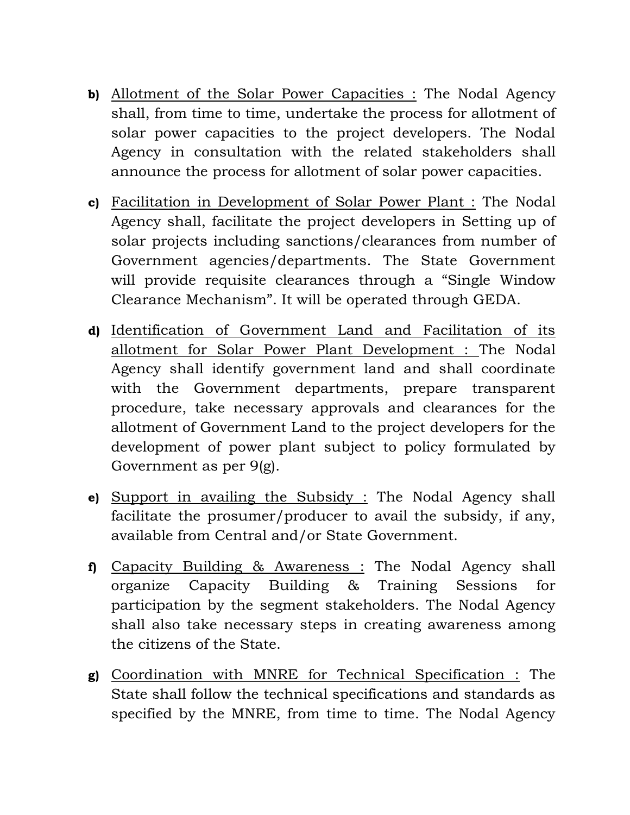- **b)** Allotment of the Solar Power Capacities : The Nodal Agency shall, from time to time, undertake the process for allotment of solar power capacities to the project developers. The Nodal Agency in consultation with the related stakeholders shall announce the process for allotment of solar power capacities.
- **c)** Facilitation in Development of Solar Power Plant : The Nodal Agency shall, facilitate the project developers in Setting up of solar projects including sanctions/clearances from number of Government agencies/departments. The State Government will provide requisite clearances through a "Single Window Clearance Mechanism". It will be operated through GEDA.
- **d)** Identification of Government Land and Facilitation of its allotment for Solar Power Plant Development : The Nodal Agency shall identify government land and shall coordinate with the Government departments, prepare transparent procedure, take necessary approvals and clearances for the allotment of Government Land to the project developers for the development of power plant subject to policy formulated by Government as per 9(g).
- **e)** Support in availing the Subsidy : The Nodal Agency shall facilitate the prosumer/producer to avail the subsidy, if any, available from Central and/or State Government.
- **f)** Capacity Building & Awareness : The Nodal Agency shall organize Capacity Building & Training Sessions for participation by the segment stakeholders. The Nodal Agency shall also take necessary steps in creating awareness among the citizens of the State.
- **g)** Coordination with MNRE for Technical Specification : The State shall follow the technical specifications and standards as specified by the MNRE, from time to time. The Nodal Agency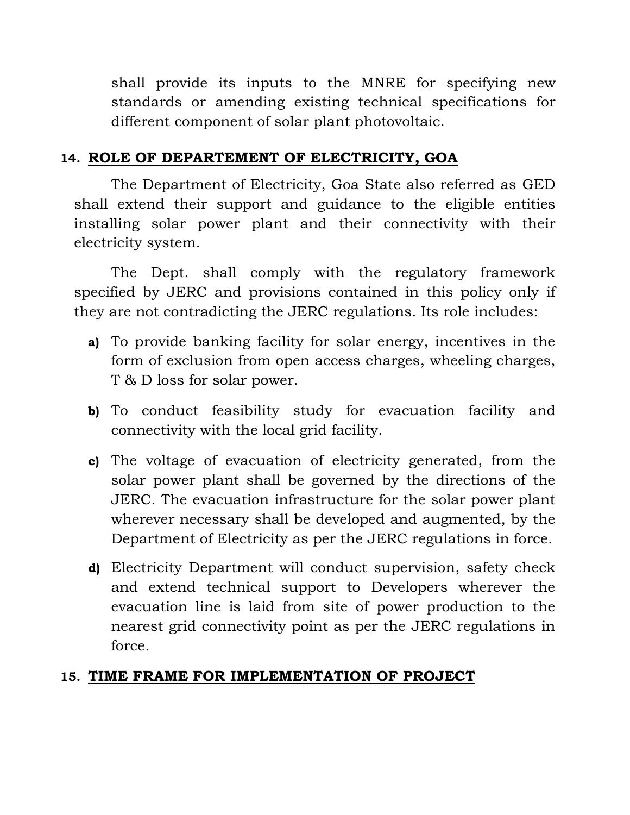shall provide its inputs to the MNRE for specifying new standards or amending existing technical specifications for different component of solar plant photovoltaic.

## **14. ROLE OF DEPARTEMENT OF ELECTRICITY, GOA**

The Department of Electricity, Goa State also referred as GED shall extend their support and guidance to the eligible entities installing solar power plant and their connectivity with their electricity system.

The Dept. shall comply with the regulatory framework specified by JERC and provisions contained in this policy only if they are not contradicting the JERC regulations. Its role includes:

- **a)** To provide banking facility for solar energy, incentives in the form of exclusion from open access charges, wheeling charges, T & D loss for solar power.
- **b)** To conduct feasibility study for evacuation facility and connectivity with the local grid facility.
- **c)** The voltage of evacuation of electricity generated, from the solar power plant shall be governed by the directions of the JERC. The evacuation infrastructure for the solar power plant wherever necessary shall be developed and augmented, by the Department of Electricity as per the JERC regulations in force.
- **d)** Electricity Department will conduct supervision, safety check and extend technical support to Developers wherever the evacuation line is laid from site of power production to the nearest grid connectivity point as per the JERC regulations in force.

#### **15. TIME FRAME FOR IMPLEMENTATION OF PROJECT**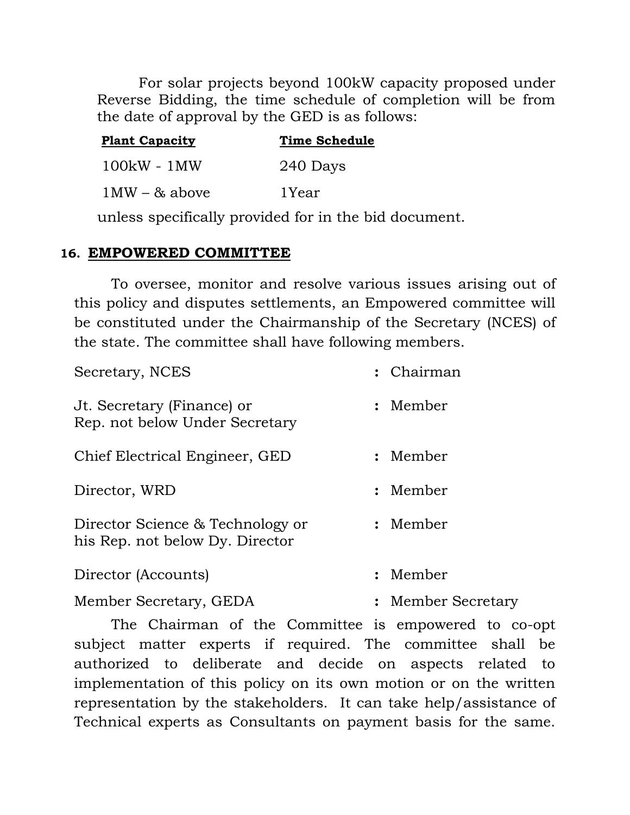For solar projects beyond 100kW capacity proposed under Reverse Bidding, the time schedule of completion will be from the date of approval by the GED is as follows:

| <b>Plant Capacity</b> | <b>Time Schedule</b> |
|-----------------------|----------------------|
| $100kW - 1MW$         | 240 Days             |
| $1MW - & above$       | 1Year                |

unless specifically provided for in the bid document.

#### **16. EMPOWERED COMMITTEE**

To oversee, monitor and resolve various issues arising out of this policy and disputes settlements, an Empowered committee will be constituted under the Chairmanship of the Secretary (NCES) of the state. The committee shall have following members.

| Secretary, NCES                                                     | : Chairman         |
|---------------------------------------------------------------------|--------------------|
| Jt. Secretary (Finance) or<br>Rep. not below Under Secretary        | : Member           |
| Chief Electrical Engineer, GED                                      | : Member           |
| Director, WRD                                                       | : Member           |
| Director Science & Technology or<br>his Rep. not below Dy. Director | : Member           |
| Director (Accounts)                                                 | : Member           |
| Member Secretary, GEDA                                              | : Member Secretary |

The Chairman of the Committee is empowered to co-opt subject matter experts if required. The committee shall be authorized to deliberate and decide on aspects related to implementation of this policy on its own motion or on the written representation by the stakeholders. It can take help/assistance of Technical experts as Consultants on payment basis for the same.